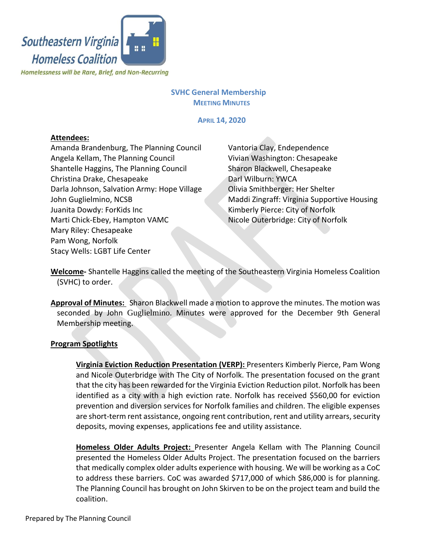

## **SVHC General Membership MEETING MINUTES**

**APRIL 14, 2020**

# **Attendees:**

Amanda Brandenburg, The Planning Council Angela Kellam, The Planning Council Shantelle Haggins, The Planning Council Christina Drake, Chesapeake Darla Johnson, Salvation Army: Hope Village John Guglielmino, NCSB Juanita Dowdy: ForKids Inc Marti Chick-Ebey, Hampton VAMC Mary Riley: Chesapeake Pam Wong, Norfolk Stacy Wells: LGBT Life Center

Vantoria Clay, Endependence Vivian Washington: Chesapeake Sharon Blackwell, Chesapeake Darl Wilburn: YWCA Olivia Smithberger: Her Shelter Maddi Zingraff: Virginia Supportive Housing Kimberly Pierce: City of Norfolk Nicole Outerbridge: City of Norfolk

**Welcome-** Shantelle Haggins called the meeting of the Southeastern Virginia Homeless Coalition (SVHC) to order.

**Approval of Minutes:** Sharon Blackwell made a motion to approve the minutes. The motion was seconded by John Guglielmino. Minutes were approved for the December 9th General Membership meeting.

## **Program Spotlights**

**Virginia Eviction Reduction Presentation (VERP):** Presenters Kimberly Pierce, Pam Wong and Nicole Outerbridge with The City of Norfolk. The presentation focused on the grant that the city has been rewarded for the Virginia Eviction Reduction pilot. Norfolk has been identified as a city with a high eviction rate. Norfolk has received \$560,00 for eviction prevention and diversion services for Norfolk families and children. The eligible expenses are short-term rent assistance, ongoing rent contribution, rent and utility arrears, security deposits, moving expenses, applications fee and utility assistance.

**Homeless Older Adults Project:** Presenter Angela Kellam with The Planning Council presented the Homeless Older Adults Project. The presentation focused on the barriers that medically complex older adults experience with housing. We will be working as a CoC to address these barriers. CoC was awarded \$717,000 of which \$86,000 is for planning. The Planning Council has brought on John Skirven to be on the project team and build the coalition.